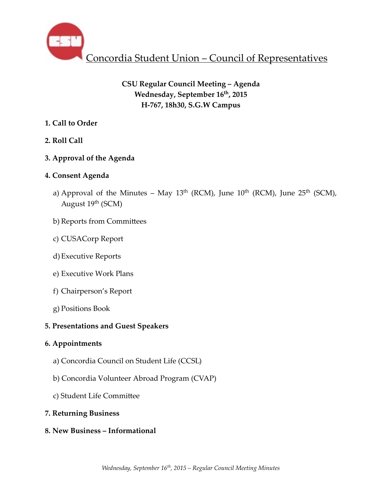

# **CSU Regular Council Meeting – Agenda Wednesday, September 16th, 2015 H-767, 18h30, S.G.W Campus**

# **1. Call to Order**

# **2. Roll Call**

# **3. Approval of the Agenda**

# **4. Consent Agenda**

- a) Approval of the Minutes May  $13<sup>th</sup>$  (RCM), June  $10<sup>th</sup>$  (RCM), June  $25<sup>th</sup>$  (SCM), August 19<sup>th</sup> (SCM)
- b) Reports from Committees
- c) CUSACorp Report
- d)Executive Reports
- e) Executive Work Plans
- f) Chairperson's Report
- g) Positions Book

# **5. Presentations and Guest Speakers**

## **6. Appointments**

- a) Concordia Council on Student Life (CCSL)
- b) Concordia Volunteer Abroad Program (CVAP)
- c) Student Life Committee

## **7. Returning Business**

**8. New Business – Informational**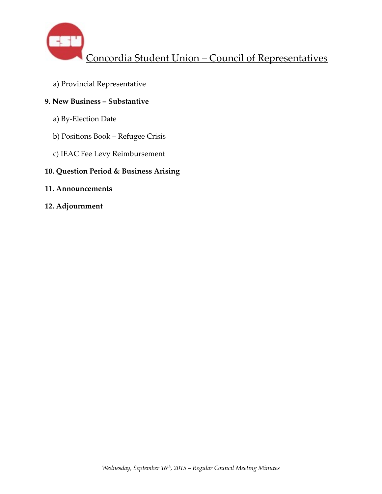

a) Provincial Representative

# **9. New Business – Substantive**

- a) By-Election Date
- b) Positions Book Refugee Crisis
- c) IEAC Fee Levy Reimbursement

## **10. Question Period & Business Arising**

## **11. Announcements**

**12. Adjournment**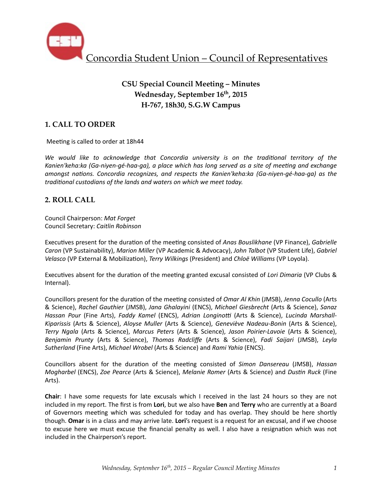

# **CSU Special Council Meeting – Minutes Wednesday, September 16th, 2015 H-767, 18h30, S.G.W Campus**

## **1. CALL TO ORDER**

Meeting is called to order at 18h44

We would like to acknowledge that Concordia university is on the traditional territory of the Kanien'keha:ka (Ga-niyen-gé-haa-ga), a place which has long served as a site of meeting and exchange *amongst nations. Concordia recognizes, and respects the Kanien'keha:ka (Ga-niyen-gé-haa-ga)* as the *traditional custodians of the lands and waters on which we meet today.* 

## **2. ROLL CALL**

Council Chairperson: *Mat Forget* Council Secretary: *Caitlin Robinson*

Executives present for the duration of the meeting consisted of *Anas Bouslikhane* (VP Finance), *Gabrielle Caron* (VP Sustainability), *Marion Miller* (VP Academic & Advocacy), *John Talbot* (VP Student Life), *Gabriel* Velasco (VP External & Mobilization), *Terry Wilkings* (President) and *Chloë Williams* (VP Loyola).

Executives absent for the duration of the meeting granted excusal consisted of *Lori Dimaria* (VP Clubs & Internal). 

Councillors present for the duration of the meeting consisted of *Omar Al Khin* (JMSB), *Jenna Cocullo* (Arts & Science), *Rachel Gauthier* (JMSB), *Jana Ghalayini* (ENCS), *Michael Giesbrecht* (Arts & Science), *Sanaz Hassan Pour* (Fine Arts), *Faddy Kamel* (ENCS), *Adrian Longinotti* (Arts & Science), *Lucinda Marshall-*Kiparissis (Arts & Science), Aloyse Muller (Arts & Science), Geneviève Nadeau-Bonin (Arts & Science), *Terry Ngala* (Arts & Science), *Marcus Peters* (Arts & Science), *Jason Poirier-Lavoie*  (Arts & Science), *Benjamin Prunty* (Arts & Science), *Thomas Radcliffe* (Arts & Science), *Fadi Saijari*  (JMSB), *Leyla Sutherland* (Fine Arts), *Michael Wrobel* (Arts & Science) and *Rami Yahia* (ENCS).

Councillors absent for the duration of the meeting consisted of *Simon Dansereau* (JMSB), *Hassan Mogharbel* (ENCS), *Zoe Pearce* (Arts & Science), *Melanie Romer* (Arts & Science) and *Dustin Ruck* (Fine Arts).

**Chair**: I have some requests for late excusals which I received in the last 24 hours so they are not included in my report. The first is from Lori, but we also have Ben and Terry who are currently at a Board of Governors meeting which was scheduled for today and has overlap. They should be here shortly though. **Omar** is in a class and may arrive late. Lori's request is a request for an excusal, and if we choose to excuse here we must excuse the financial penalty as well. I also have a resignation which was not included in the Chairperson's report.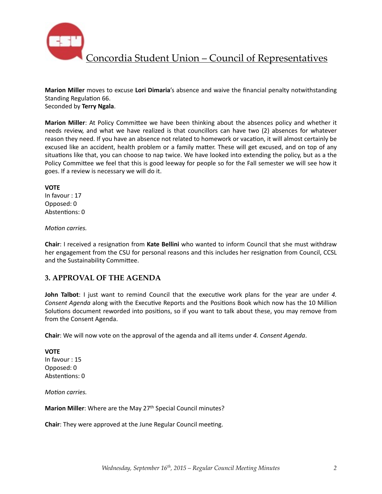

**Marion Miller** moves to excuse Lori Dimaria's absence and waive the financial penalty notwithstanding Standing Regulation 66.

Seconded by **Terry Ngala**. 

**Marion Miller**: At Policy Committee we have been thinking about the absences policy and whether it needs review, and what we have realized is that councillors can have two (2) absences for whatever reason they need. If you have an absence not related to homework or vacation, it will almost certainly be excused like an accident, health problem or a family matter. These will get excused, and on top of any situations like that, you can choose to nap twice. We have looked into extending the policy, but as a the Policy Committee we feel that this is good leeway for people so for the Fall semester we will see how it goes. If a review is necessary we will do it.

#### **VOTE**

In favour : 17 Opposed: 0 Abstentions: 0

*Motion carries.* 

**Chair:** I received a resignation from Kate Bellini who wanted to inform Council that she must withdraw her engagement from the CSU for personal reasons and this includes her resignation from Council, CCSL and the Sustainability Committee.

## **3. APPROVAL OF THE AGENDA**

**John Talbot**: I just want to remind Council that the executive work plans for the year are under 4. *Consent Agenda* along with the Executive Reports and the Positions Book which now has the 10 Million Solutions document reworded into positions, so if you want to talk about these, you may remove from from the Consent Agenda.

**Chair:** We will now vote on the approval of the agenda and all items under 4. Consent Agenda.

#### **VOTE**

In favour : 15 Opposed: 0 Abstentions: 0

*Motion carries.* 

**Marion Miller**: Where are the May 27<sup>th</sup> Special Council minutes?

**Chair**: They were approved at the June Regular Council meeting.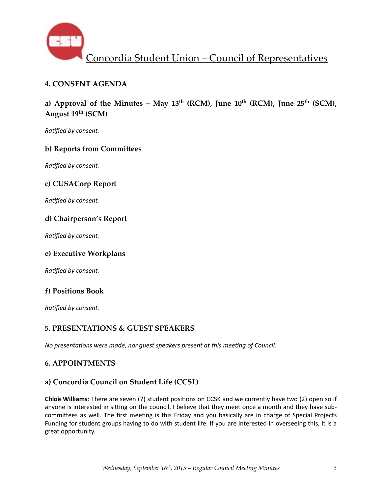

## **4. CONSENT AGENDA**

a) Approval of the Minutes – May  $13<sup>th</sup>$  (RCM), June  $10<sup>th</sup>$  (RCM), June  $25<sup>th</sup>$  (SCM), **August 19th (SCM)** 

**Ratified by consent.** 

## **b) Reports from Committees**

**Ratified by consent.** 

## **c) CUSACorp Report**

**Ratified by consent.** 

## **d) Chairperson's Report**

**Ratified by consent.** 

## **e) Executive Workplans**

**Ratified by consent.** 

## **f) Positions Book**

**Ratified by consent.** 

## **5. PRESENTATIONS & GUEST SPEAKERS**

*No presentations were made, nor guest speakers present at this meeting of Council.* 

## **6. APPOINTMENTS**

## **a) Concordia Council on Student Life (CCSL)**

**Chloë Williams**: There are seven (7) student positions on CCSK and we currently have two (2) open so if anyone is interested in sitting on the council, I believe that they meet once a month and they have subcommittees as well. The first meeting is this Friday and you basically are in charge of Special Projects Funding for student groups having to do with student life. If you are interested in overseeing this, it is a great opportunity.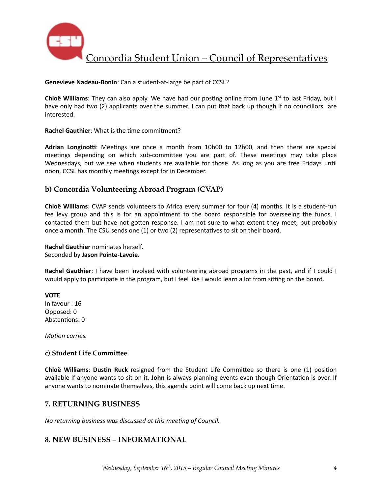

#### **Genevieve Nadeau-Bonin:** Can a student-at-large be part of CCSL?

**Chloë Williams**: They can also apply. We have had our posting online from June  $1^{st}$  to last Friday, but I have only had two (2) applicants over the summer. I can put that back up though if no councillors are interested. 

#### **Rachel Gauthier:** What is the time commitment?

Adrian Longinotti: Meetings are once a month from 10h00 to 12h00, and then there are special meetings depending on which sub-committee you are part of. These meetings may take place Wednesdays, but we see when students are available for those. As long as you are free Fridays until noon, CCSL has monthly meetings except for in December.

## **b) Concordia Volunteering Abroad Program (CVAP)**

**Chloë Williams**: CVAP sends volunteers to Africa every summer for four (4) months. It is a student-run fee levy group and this is for an appointment to the board responsible for overseeing the funds. I contacted them but have not gotten response. I am not sure to what extent they meet, but probably once a month. The CSU sends one  $(1)$  or two  $(2)$  representatives to sit on their board.

#### **Rachel Gauthier** nominates herself. Seconded by **Jason Pointe-Lavoie**.

**Rachel Gauthier**: I have been involved with volunteering abroad programs in the past, and if I could I would apply to participate in the program, but I feel like I would learn a lot from sitting on the board.

**VOTE** In favour : 16 Opposed: 0 Abstentions: 0

*Motion carries.* 

#### **c) Student Life Committee**

**Chloë Williams: Dustin Ruck** resigned from the Student Life Committee so there is one (1) position available if anyone wants to sit on it. John is always planning events even though Orientation is over. If anyone wants to nominate themselves, this agenda point will come back up next time.

## **7. RETURNING BUSINESS**

*No returning business was discussed at this meeting of Council.* 

## **8. NEW BUSINESS – INFORMATIONAL**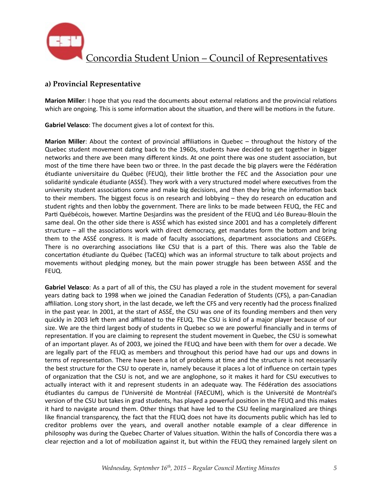

## **a) Provincial Representative**

**Marion Miller**: I hope that you read the documents about external relations and the provincial relations which are ongoing. This is some information about the situation, and there will be motions in the future.

**Gabriel Velasco**: The document gives a lot of context for this.

**Marion Miller**: About the context of provincial affiliations in Quebec – throughout the history of the Quebec student movement dating back to the 1960s, students have decided to get together in bigger networks and there ave been many different kinds. At one point there was one student association, but most of the time there have been two or three. In the past decade the big players were the Fédération étudiante universitaire du Québec (FEUQ), their little brother the FEC and the Association pour une solidarité syndicale étudiante (ASSÉ). They work with a very structured model where executives from the university student associations come and make big decisions, and then they bring the information back to their members. The biggest focus is on research and lobbying  $-$  they do research on education and student rights and then lobby the government. There are links to be made between FEUQ, the FEC and Parti Québécois, however. Martine Desjardins was the president of the FEUQ and Léo Bureau-Blouin the same deal. On the other side there is ASSÉ which has existed since 2001 and has a completely different structure – all the associations work with direct democracy, get mandates form the bottom and bring them to the ASSÉ congress. It is made of faculty associations, department associations and CEGEPs. There is no overarching associations like CSU that is a part of this. There was also the Table de concertation étudiante du Québec (TaCEQ) which was an informal structure to talk about projects and movements without pledging money, but the main power struggle has been between ASSÉ and the FEUQ. 

Gabriel Velasco: As a part of all of this, the CSU has played a role in the student movement for several years dating back to 1998 when we joined the Canadian Federation of Students (CFS), a pan-Canadian affiliation. Long story short, in the last decade, we left the CFS and very recently had the process finalized in the past year. In 2001, at the start of ASSÉ, the CSU was one of its founding members and then very quickly in 2003 left them and affiliated to the FEUQ. The CSU is kind of a major player because of our size. We are the third largest body of students in Quebec so we are powerful financially and in terms of representation. If you are claiming to represent the student movement in Quebec, the CSU is somewhat of an important player. As of 2003, we joined the FEUQ and have been with them for over a decade. We are legally part of the FEUQ as members and throughout this period have had our ups and downs in terms of representation. There have been a lot of problems at time and the structure is not necessarily the best structure for the CSU to operate in, namely because it places a lot of influence on certain types of organization that the CSU is not, and we are anglophone, so it makes it hard for CSU executives to actually interact with it and represent students in an adequate way. The Fédération des associations étudiantes du campus de l'Université de Montréal (FAECUM), which is the Université de Montréal's version of the CSU but takes in grad students, has played a powerful position in the FEUQ and this makes it hard to navigate around them. Other things that have led to the CSU feeling marginalized are things like financial transparency, the fact that the FEUQ does not have its documents public which has led to creditor problems over the years, and overall another notable example of a clear difference in philosophy was during the Quebec Charter of Values situation. Within the halls of Concordia there was a clear rejection and a lot of mobilization against it, but within the FEUQ they remained largely silent on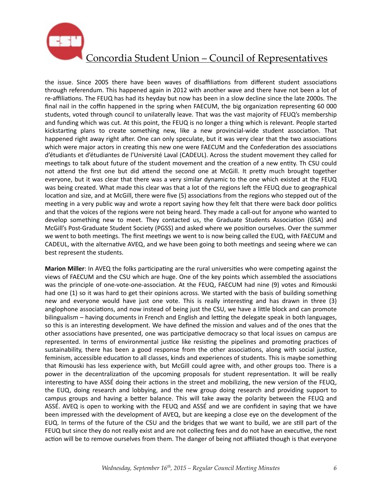

the issue. Since 2005 there have been waves of disaffiliations from different student associations through referendum. This happened again in 2012 with another wave and there have not been a lot of re-affiliations. The FEUQ has had its heyday but now has been in a slow decline since the late 2000s. The final nail in the coffin happened in the spring when FAECUM, the big organization representing 60 000 students, voted through council to unilaterally leave. That was the vast majority of FEUQ's membership and funding which was cut. At this point, the FEUQ is no longer a thing which is relevant. People started kickstarting plans to create something new, like a new provincial-wide student association. That happened right away right after. One can only speculate, but it was very clear that the two associations which were major actors in creating this new one were FAECUM and the Confederation des associations d'étudiants et d'étudiantes de l'Université Laval (CADEUL). Across the student movement they called for meetings to talk about future of the student movement and the creation of a new entity. Th CSU could not attend the first one but did attend the second one at McGill. It pretty much brought together everyone, but it was clear that there was a very similar dynamic to the one which existed at the FEUQ was being created. What made this clear was that a lot of the regions left the FEUQ due to geographical location and size, and at McGill, there were five (5) associations from the regions who stepped out of the meeting in a very public way and wrote a report saying how they felt that there were back door politics and that the voices of the regions were not being heard. They made a call-out for anyone who wanted to develop something new to meet. They contacted us, the Graduate Students Association (GSA) and McGill's Post-Graduate Student Society (PGSS) and asked where we position ourselves. Over the summer we went to both meetings. The first meetings we went to is now being called the EUQ, with FAECUM and CADEUL, with the alternative AVEQ, and we have been going to both meetings and seeing where we can best represent the students.

**Marion Miller**: In AVEQ the folks participating are the rural universities who were competing against the views of FAECUM and the CSU which are huge. One of the key points which assembled the associations was the principle of one-vote-one-association. At the FEUQ, FAECUM had nine (9) votes and Rimouski had one (1) so it was hard to get their opinions across. We started with the basis of building something new and everyone would have just one vote. This is really interesting and has drawn in three (3) anglophone associations, and now instead of being just the CSU, we have a little block and can promote bilingualism – having documents in French and English and letting the delegate speak in both languages, so this is an interesting development. We have defined the mission and values and of the ones that the other associations have presented, one was participative democracy so that local issues on campus are represented. In terms of environmental justice like resisting the pipelines and promoting practices of sustainability, there has been a good response from the other associations, along with social justice, feminism, accessible education to all classes, kinds and experiences of students. This is maybe something that Rimouski has less experience with, but McGill could agree with, and other groups too. There is a power in the decentralization of the upcoming proposals for student representation. It will be really interesting to have ASSÉ doing their actions in the street and mobilizing, the new version of the FEUQ, the EUQ, doing research and lobbying, and the new group doing research and providing support to campus groups and having a better balance. This will take away the polarity between the FEUQ and ASSÉ. AVEQ is open to working with the FEUQ and ASSÉ and we are confident in saying that we have been impressed with the development of AVEQ, but are keeping a close eye on the development of the EUQ. In terms of the future of the CSU and the bridges that we want to build, we are still part of the FEUQ but since they do not really exist and are not collecting fees and do not have an executive, the next action will be to remove ourselves from them. The danger of being not affiliated though is that everyone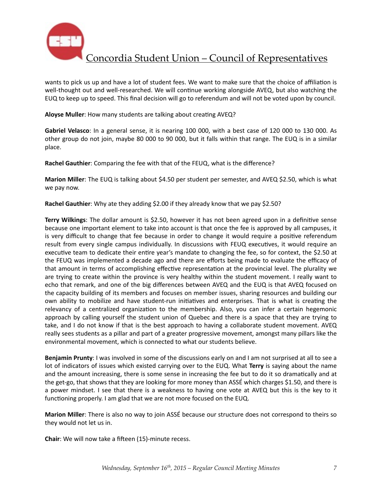

wants to pick us up and have a lot of student fees. We want to make sure that the choice of affiliation is well-thought out and well-researched. We will continue working alongside AVEQ, but also watching the EUQ to keep up to speed. This final decision will go to referendum and will not be voted upon by council.

Aloyse Muller: How many students are talking about creating AVEQ?

Gabriel Velasco: In a general sense, it is nearing 100 000, with a best case of 120 000 to 130 000. As other group do not join, maybe 80 000 to 90 000, but it falls within that range. The EUQ is in a similar place. 

Rachel Gauthier: Comparing the fee with that of the FEUQ, what is the difference?

**Marion Miller**: The EUQ is talking about \$4.50 per student per semester, and AVEQ \$2.50, which is what we pay now.

**Rachel Gauthier:** Why ate they adding \$2.00 if they already know that we pay \$2.50?

**Terry Wilkings**: The dollar amount is \$2.50, however it has not been agreed upon in a definitive sense because one important element to take into account is that once the fee is approved by all campuses, it is very difficult to change that fee because in order to change it would require a positive referendum result from every single campus individually. In discussions with FEUQ executives, it would require an executive team to dedicate their entire year's mandate to changing the fee, so for context, the \$2.50 at the FEUQ was implemented a decade ago and there are efforts being made to evaluate the efficacy of that amount in terms of accomplishing effective representation at the provincial level. The plurality we are trying to create within the province is very healthy within the student movement. I really want to echo that remark, and one of the big differences between AVEQ and the EUQ is that AVEQ focused on the capacity building of its members and focuses on member issues, sharing resources and building our own ability to mobilize and have student-run initiatives and enterprises. That is what is creating the relevancy of a centralized organization to the membership. Also, you can infer a certain hegemonic approach by calling yourself the student union of Quebec and there is a space that they are trying to take, and I do not know if that is the best approach to having a collaborate student movement. AVEQ really sees students as a pillar and part of a greater progressive movement, amongst many pillars like the environmental movement, which is connected to what our students believe.

**Benjamin Prunty**: I was involved in some of the discussions early on and I am not surprised at all to see a lot of indicators of issues which existed carrying over to the EUQ. What Terry is saying about the name and the amount increasing, there is some sense in increasing the fee but to do it so dramatically and at the get-go, that shows that they are looking for more money than ASSÉ which charges \$1.50, and there is a power mindset. I see that there is a weakness to having one vote at AVEQ but this is the key to it functioning properly. I am glad that we are not more focused on the EUQ.

**Marion Miller**: There is also no way to join ASSÉ because our structure does not correspond to theirs so they would not let us in.

**Chair**: We will now take a fifteen (15)-minute recess.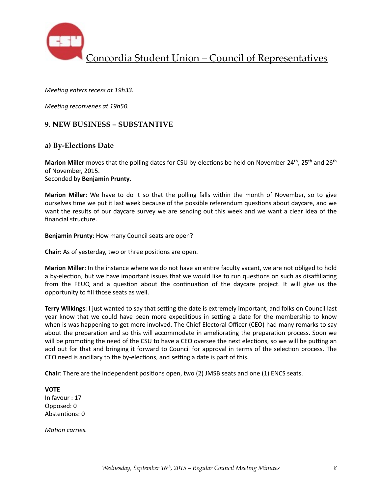

*Meeting enters recess at 19h33.* 

*Meeting reconvenes at 19h50.* 

### **9. NEW BUSINESS – SUBSTANTIVE**

### **a) By-Elections Date**

**Marion Miller** moves that the polling dates for CSU by-elections be held on November 24<sup>th</sup>, 25<sup>th</sup> and 26<sup>th</sup> of November, 2015.

Seconded by **Benjamin Prunty**. 

**Marion Miller**: We have to do it so that the polling falls within the month of November, so to give ourselves time we put it last week because of the possible referendum questions about daycare, and we want the results of our daycare survey we are sending out this week and we want a clear idea of the financial structure.

**Benjamin Prunty:** How many Council seats are open?

**Chair:** As of yesterday, two or three positions are open.

**Marion Miller**: In the instance where we do not have an entire faculty vacant, we are not obliged to hold a by-election, but we have important issues that we would like to run questions on such as disaffiliating from the FEUQ and a question about the continuation of the daycare project. It will give us the opportunity to fill those seats as well.

**Terry Wilkings**: I just wanted to say that setting the date is extremely important, and folks on Council last year know that we could have been more expeditious in setting a date for the membership to know when is was happening to get more involved. The Chief Electoral Officer (CEO) had many remarks to say about the preparation and so this will accommodate in ameliorating the preparation process. Soon we will be promoting the need of the CSU to have a CEO oversee the next elections, so we will be putting an add out for that and bringing it forward to Council for approval in terms of the selection process. The CEO need is ancillary to the by-elections, and setting a date is part of this.

**Chair**: There are the independent positions open, two (2) JMSB seats and one (1) ENCS seats.

**VOTE** In favour : 17 Opposed: 0 Abstentions: 0

*Motion carries.*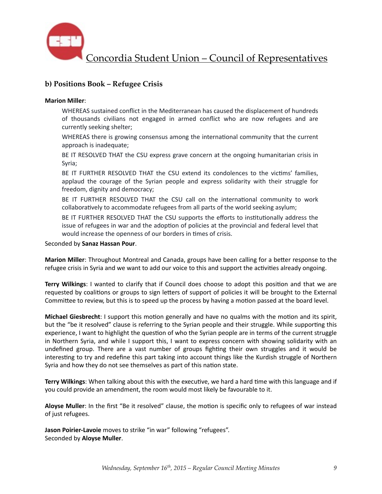

## **b) Positions Book – Refugee Crisis**

#### **Marion Miller**:

WHEREAS sustained conflict in the Mediterranean has caused the displacement of hundreds of thousands civilians not engaged in armed conflict who are now refugees and are currently seeking shelter;

WHEREAS there is growing consensus among the international community that the current approach is inadequate;

BE IT RESOLVED THAT the CSU express grave concern at the ongoing humanitarian crisis in Syria; 

BE IT FURTHER RESOLVED THAT the CSU extend its condolences to the victims' families, applaud the courage of the Syrian people and express solidarity with their struggle for freedom, dignity and democracy;

BE IT FURTHER RESOLVED THAT the CSU call on the international community to work collaboratively to accommodate refugees from all parts of the world seeking asylum;

BE IT FURTHER RESOLVED THAT the CSU supports the efforts to institutionally address the issue of refugees in war and the adoption of policies at the provincial and federal level that would increase the openness of our borders in times of crisis.

Seconded by **Sanaz Hassan Pour**. 

**Marion Miller**: Throughout Montreal and Canada, groups have been calling for a better response to the refugee crisis in Syria and we want to add our voice to this and support the activities already ongoing.

**Terry Wilkings**: I wanted to clarify that if Council does choose to adopt this position and that we are requested by coalitions or groups to sign letters of support of policies it will be brought to the External Committee to review, but this is to speed up the process by having a motion passed at the board level.

**Michael Giesbrecht**: I support this motion generally and have no qualms with the motion and its spirit, but the "be it resolved" clause is referring to the Syrian people and their struggle. While supporting this experience, I want to highlight the question of who the Syrian people are in terms of the current struggle in Northern Syria, and while I support this, I want to express concern with showing solidarity with an undefined group. There are a vast number of groups fighting their own struggles and it would be interesting to try and redefine this part taking into account things like the Kurdish struggle of Northern Syria and how they do not see themselves as part of this nation state.

**Terry Wilkings:** When talking about this with the executive, we hard a hard time with this language and if you could provide an amendment, the room would most likely be favourable to it.

Aloyse Muller: In the first "Be it resolved" clause, the motion is specific only to refugees of war instead of just refugees.

**Jason Poirier-Lavoie** moves to strike "in war" following "refugees". Seconded by **Aloyse Muller**.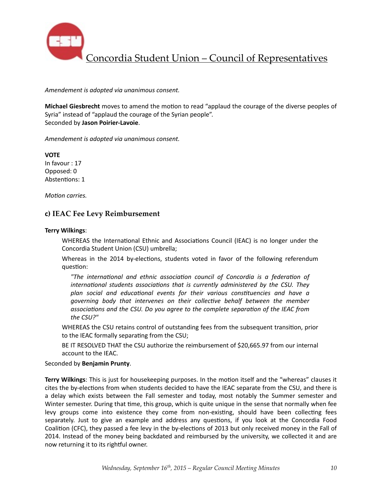

*Amendement is adopted via unanimous consent.* 

**Michael Giesbrecht** moves to amend the motion to read "applaud the courage of the diverse peoples of Syria" instead of "applaud the courage of the Syrian people". Seconded by **Jason Poirier-Lavoie**. 

*Amendement is adopted via unanimous consent.* 

**VOTE** In favour : 17 Opposed: 0 Abstentions: 1

*Motion carries.* 

#### **c) IEAC Fee Levy Reimbursement**

#### **Terry Wilkings**:

WHEREAS the International Ethnic and Associations Council (IEAC) is no longer under the Concordia Student Union (CSU) umbrella;

Whereas in the 2014 by-elections, students voted in favor of the following referendum question:

"The international and ethnic association council of Concordia is a federation of *international students associations that is currently administered by the CSU. They* plan social and educational events for their various constituencies and have a *governing* body that intervenes on their collective behalf between the member associations and the CSU. Do you agree to the complete separation of the IEAC from the CSU?"

WHEREAS the CSU retains control of outstanding fees from the subsequent transition, prior to the IEAC formally separating from the CSU;

BE IT RESOLVED THAT the CSU authorize the reimbursement of \$20,665.97 from our internal account to the IEAC.

#### Seconded by **Benjamin Prunty**.

**Terry Wilkings**: This is just for housekeeping purposes. In the motion itself and the "whereas" clauses it cites the by-elections from when students decided to have the IEAC separate from the CSU, and there is a delay which exists between the Fall semester and today, most notably the Summer semester and Winter semester. During that time, this group, which is quite unique in the sense that normally when fee levy groups come into existence they come from non-existing, should have been collecting fees separately. Just to give an example and address any questions, if you look at the Concordia Food Coalition (CFC), they passed a fee levy in the by-elections of 2013 but only received money in the Fall of 2014. Instead of the money being backdated and reimbursed by the university, we collected it and are now returning it to its rightful owner.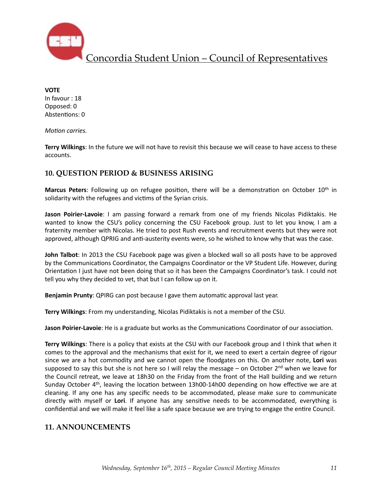

**VOTE**  In favour : 18 Opposed: 0 Abstentions: 0

*Motion carries.* 

**Terry Wilkings**: In the future we will not have to revisit this because we will cease to have access to these accounts. 

## **10. QUESTION PERIOD & BUSINESS ARISING**

**Marcus Peters**: Following up on refugee position, there will be a demonstration on October 10<sup>th</sup> in solidarity with the refugees and victims of the Syrian crisis.

**Jason Poirier-Lavoie**: I am passing forward a remark from one of my friends Nicolas Pidiktakis. He wanted to know the CSU's policy concerning the CSU Facebook group. Just to let you know, I am a fraternity member with Nicolas. He tried to post Rush events and recruitment events but they were not approved, although QPRIG and anti-austerity events were, so he wished to know why that was the case.

**John Talbot**: In 2013 the CSU Facebook page was given a blocked wall so all posts have to be approved by the Communications Coordinator, the Campaigns Coordinator or the VP Student Life. However, during Orientation I just have not been doing that so it has been the Campaigns Coordinator's task. I could not tell you why they decided to vet, that but I can follow up on it.

**Benjamin Prunty**: QPIRG can post because I gave them automatic approval last year.

**Terry Wilkings**: From my understanding, Nicolas Pidiktakis is not a member of the CSU.

Jason Poirier-Lavoie: He is a graduate but works as the Communications Coordinator of our association.

**Terry Wilkings**: There is a policy that exists at the CSU with our Facebook group and I think that when it comes to the approval and the mechanisms that exist for it, we need to exert a certain degree of rigour since we are a hot commodity and we cannot open the floodgates on this. On another note, Lori was supposed to say this but she is not here so I will relay the message – on October  $2^{nd}$  when we leave for the Council retreat, we leave at 18h30 on the Friday from the front of the Hall building and we return Sunday October  $4<sup>th</sup>$ , leaving the location between 13h00-14h00 depending on how effective we are at cleaning. If any one has any specific needs to be accommodated, please make sure to communicate directly with myself or Lori. If anyone has any sensitive needs to be accommodated, everything is confidential and we will make it feel like a safe space because we are trying to engage the entire Council.

## **11. ANNOUNCEMENTS**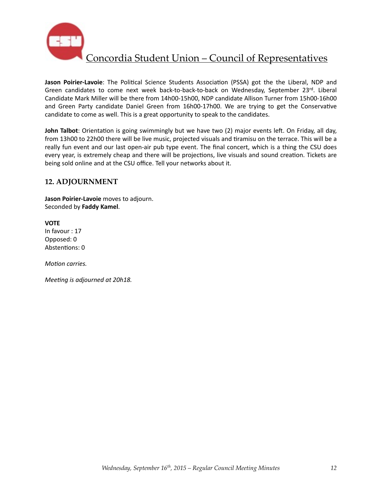

**Jason Poirier-Lavoie**: The Political Science Students Association (PSSA) got the the Liberal, NDP and Green candidates to come next week back-to-back-to-back on Wednesday, September 23rd. Liberal Candidate Mark Miller will be there from 14h00-15h00, NDP candidate Allison Turner from 15h00-16h00 and Green Party candidate Daniel Green from 16h00-17h00. We are trying to get the Conservative candidate to come as well. This is a great opportunity to speak to the candidates.

John Talbot: Orientation is going swimmingly but we have two (2) major events left. On Friday, all day, from 13h00 to 22h00 there will be live music, projected visuals and tiramisu on the terrace. This will be a really fun event and our last open-air pub type event. The final concert, which is a thing the CSU does every year, is extremely cheap and there will be projections, live visuals and sound creation. Tickets are being sold online and at the CSU office. Tell your networks about it.

## **12. ADJOURNMENT**

**Jason Poirier-Lavoie** moves to adjourn. Seconded by **Faddy Kamel**. 

**VOTE** In favour : 17 Opposed: 0 Abstentions: 0

*Motion carries.* 

*Meeting is adjourned at 20h18.*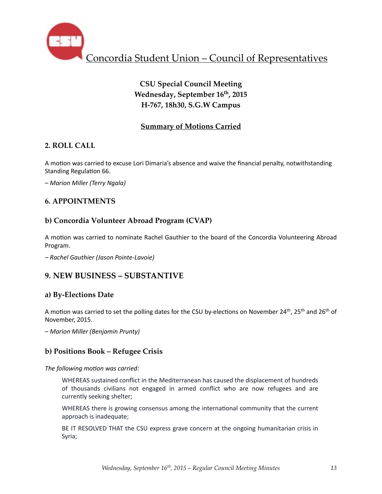

# **CSU Special Council Meeting Wednesday, September 16th, 2015 H-767, 18h30, S.G.W Campus**

## **Summary of Motions Carried**

## **2. ROLL CALL**

A motion was carried to excuse Lori Dimaria's absence and waive the financial penalty, notwithstanding Standing Regulation 66.

*– Marion Miller (Terry Ngala)*

## **6. APPOINTMENTS**

## **b) Concordia Volunteer Abroad Program (CVAP)**

A motion was carried to nominate Rachel Gauthier to the board of the Concordia Volunteering Abroad Program. 

*– Rachel Gauthier (Jason Pointe-Lavoie)* 

# **9. NEW BUSINESS – SUBSTANTIVE**

## **a) By-Elections Date**

A motion was carried to set the polling dates for the CSU by-elections on November 24<sup>th</sup>, 25<sup>th</sup> and 26<sup>th</sup> of November, 2015.

*– Marion Miller (Benjamin Prunty)* 

## **b) Positions Book – Refugee Crisis**

The following motion was carried:

WHEREAS sustained conflict in the Mediterranean has caused the displacement of hundreds of thousands civilians not engaged in armed conflict who are now refugees and are currently seeking shelter;

WHEREAS there is growing consensus among the international community that the current approach is inadequate;

BE IT RESOLVED THAT the CSU express grave concern at the ongoing humanitarian crisis in Syria;